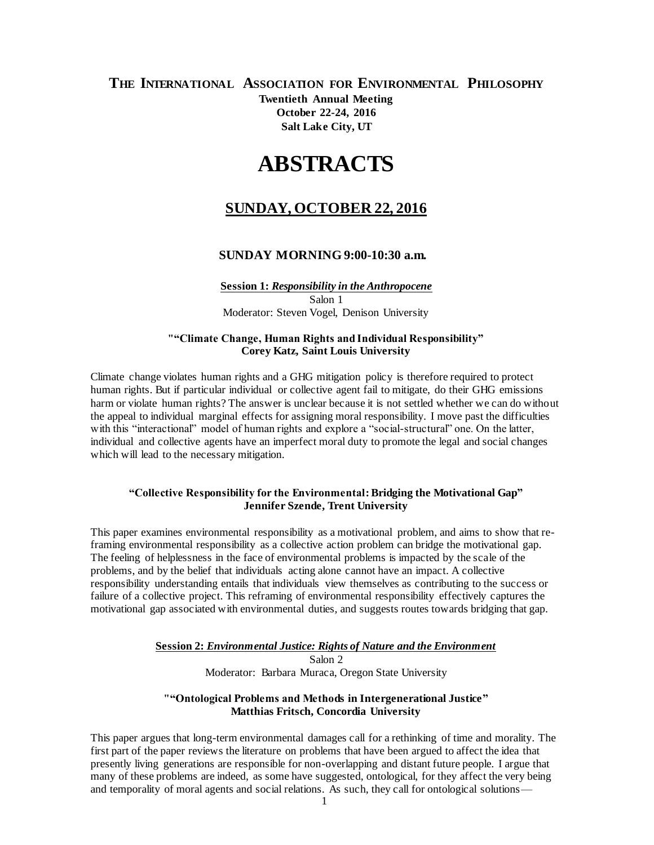# **THE INTERNATIONAL ASSOCIATION FOR ENVIRONMENTAL PHILOSOPHY Twentieth Annual Meeting October 22-24, 2016 Salt Lake City, UT**

# **ABSTRACTS**

# **SUNDAY, OCTOBER 22, 2016**

#### **SUNDAY MORNING 9:00-10:30 a.m.**

**Session 1:** *Responsibility in the Anthropocene* Salon 1 Moderator: Steven Vogel, Denison University

#### **""Climate Change, Human Rights and Individual Responsibility" Corey Katz, Saint Louis University**

Climate change violates human rights and a GHG mitigation policy is therefore required to protect human rights. But if particular individual or collective agent fail to mitigate, do their GHG emissions harm or violate human rights? The answer is unclear because it is not settled whether we can do without the appeal to individual marginal effects for assigning moral responsibility. I move past the difficulties with this "interactional" model of human rights and explore a "social-structural" one. On the latter, individual and collective agents have an imperfect moral duty to promote the legal and social changes which will lead to the necessary mitigation.

#### **"Collective Responsibility for the Environmental: Bridging the Motivational Gap" Jennifer Szende, Trent University**

This paper examines environmental responsibility as a motivational problem, and aims to show that reframing environmental responsibility as a collective action problem can bridge the motivational gap. The feeling of helplessness in the face of environmental problems is impacted by the scale of the problems, and by the belief that individuals acting alone cannot have an impact. A collective responsibility understanding entails that individuals view themselves as contributing to the success or failure of a collective project. This reframing of environmental responsibility effectively captures the motivational gap associated with environmental duties, and suggests routes towards bridging that gap.

#### **Session 2:** *Environmental Justice: Rights of Nature and the Environment*

Salon 2 Moderator: Barbara Muraca, Oregon State University

#### **""Ontological Problems and Methods in Intergenerational Justice" Matthias Fritsch, Concordia University**

This paper argues that long-term environmental damages call for a rethinking of time and morality. The first part of the paper reviews the literature on problems that have been argued to affect the idea that presently living generations are responsible for non-overlapping and distant future people. I argue that many of these problems are indeed, as some have suggested, ontological, for they affect the very being and temporality of moral agents and social relations. As such, they call for ontological solutions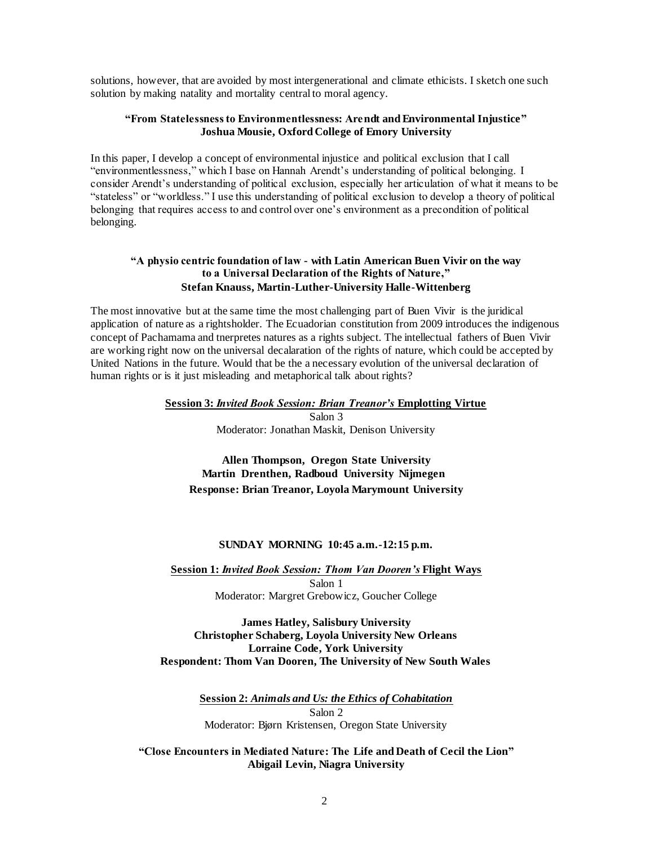solutions, however, that are avoided by most intergenerational and climate ethicists. I sketch one such solution by making natality and mortality central to moral agency.

#### **"From Statelessness to Environmentlessness: Arendt and Environmental Injustice" Joshua Mousie, Oxford College of Emory University**

In this paper, I develop a concept of environmental injustice and political exclusion that I call "environmentlessness," which I base on Hannah Arendt's understanding of political belonging. I consider Arendt's understanding of political exclusion, especially her articulation of what it means to be "stateless" or "worldless." I use this understanding of political exclusion to develop a theory of political belonging that requires access to and control over one's environment as a precondition of political belonging.

#### **"A physio centric foundation of law - with Latin American Buen Vivir on the way to a Universal Declaration of the Rights of Nature," Stefan Knauss, Martin-Luther-University Halle-Wittenberg**

The most innovative but at the same time the most challenging part of Buen Vivir is the juridical application of nature as a rightsholder. The Ecuadorian constitution from 2009 introduces the indigenous concept of Pachamama and tnerpretes natures as a rights subject. The intellectual fathers of Buen Vivir are working right now on the universal decalaration of the rights of nature, which could be accepted by United Nations in the future. Would that be the a necessary evolution of the universal declaration of human rights or is it just misleading and metaphorical talk about rights?

> **Session 3:** *Invited Book Session: Brian Treanor's* **Emplotting Virtue** Salon 3 Moderator: Jonathan Maskit, Denison University

**Allen Thompson, Oregon State University Martin Drenthen, Radboud University Nijmegen Response: Brian Treanor, Loyola Marymount University**

#### **SUNDAY MORNING 10:45 a.m.-12:15 p.m.**

**Session 1:** *Invited Book Session: Thom Van Dooren's* **Flight Ways** Salon 1 Moderator: Margret Grebowicz, Goucher College

**James Hatley, Salisbury University Christopher Schaberg, Loyola University New Orleans Lorraine Code, York University Respondent: Thom Van Dooren, The University of New South Wales**

> **Session 2:** *Animals and Us: the Ethics of Cohabitation* Salon 2 Moderator: Bjørn Kristensen, Oregon State University

**"Close Encounters in Mediated Nature: The Life and Death of Cecil the Lion" Abigail Levin, Niagra University**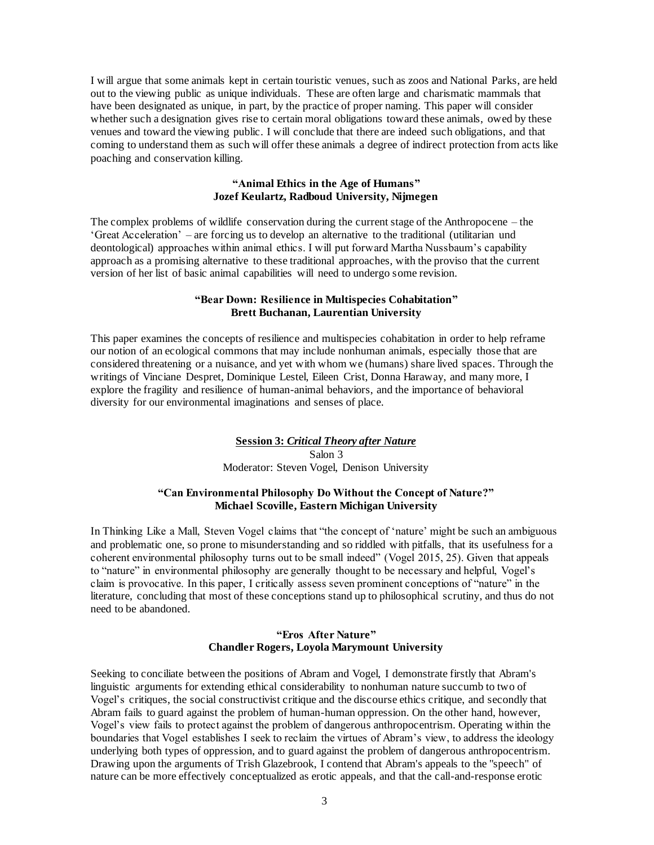I will argue that some animals kept in certain touristic venues, such as zoos and National Parks, are held out to the viewing public as unique individuals. These are often large and charismatic mammals that have been designated as unique, in part, by the practice of proper naming. This paper will consider whether such a designation gives rise to certain moral obligations toward these animals, owed by these venues and toward the viewing public. I will conclude that there are indeed such obligations, and that coming to understand them as such will offer these animals a degree of indirect protection from acts like poaching and conservation killing.

#### **"Animal Ethics in the Age of Humans" Jozef Keulartz, Radboud University, Nijmegen**

The complex problems of wildlife conservation during the current stage of the Anthropocene – the 'Great Acceleration' – are forcing us to develop an alternative to the traditional (utilitarian und deontological) approaches within animal ethics. I will put forward Martha Nussbaum's capability approach as a promising alternative to these traditional approaches, with the proviso that the current version of her list of basic animal capabilities will need to undergo some revision.

#### **"Bear Down: Resilience in Multispecies Cohabitation" Brett Buchanan, Laurentian University**

This paper examines the concepts of resilience and multispecies cohabitation in order to help reframe our notion of an ecological commons that may include nonhuman animals, especially those that are considered threatening or a nuisance, and yet with whom we (humans) share lived spaces. Through the writings of Vinciane Despret, Dominique Lestel, Eileen Crist, Donna Haraway, and many more, I explore the fragility and resilience of human-animal behaviors, and the importance of behavioral diversity for our environmental imaginations and senses of place.

# **Session 3:** *Critical Theory after Nature* Salon 3 Moderator: Steven Vogel, Denison University

#### **"Can Environmental Philosophy Do Without the Concept of Nature?" Michael Scoville, Eastern Michigan University**

In Thinking Like a Mall, Steven Vogel claims that "the concept of 'nature' might be such an ambiguous and problematic one, so prone to misunderstanding and so riddled with pitfalls, that its usefulness for a coherent environmental philosophy turns out to be small indeed" (Vogel 2015, 25). Given that appeals to "nature" in environmental philosophy are generally thought to be necessary and helpful, Vogel's claim is provocative. In this paper, I critically assess seven prominent conceptions of "nature" in the literature, concluding that most of these conceptions stand up to philosophical scrutiny, and thus do not need to be abandoned.

#### **"Eros After Nature" Chandler Rogers, Loyola Marymount University**

Seeking to conciliate between the positions of Abram and Vogel, I demonstrate firstly that Abram's linguistic arguments for extending ethical considerability to nonhuman nature succumb to two of Vogel's critiques, the social constructivist critique and the discourse ethics critique, and secondly that Abram fails to guard against the problem of human-human oppression. On the other hand, however, Vogel's view fails to protect against the problem of dangerous anthropocentrism. Operating within the boundaries that Vogel establishes I seek to reclaim the virtues of Abram's view, to address the ideology underlying both types of oppression, and to guard against the problem of dangerous anthropocentrism. Drawing upon the arguments of Trish Glazebrook, I contend that Abram's appeals to the "speech" of nature can be more effectively conceptualized as erotic appeals, and that the call-and-response erotic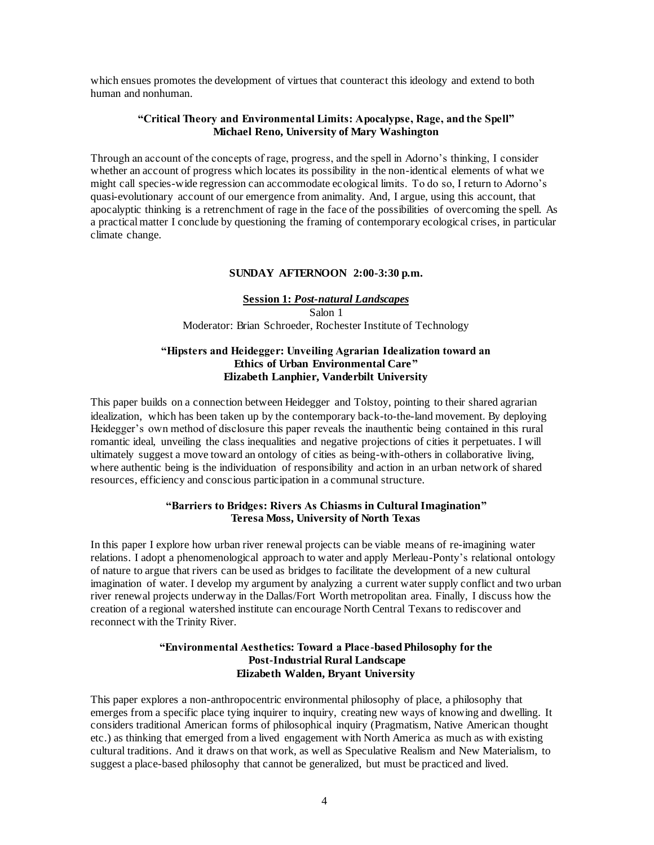which ensues promotes the development of virtues that counteract this ideology and extend to both human and nonhuman.

#### **"Critical Theory and Environmental Limits: Apocalypse, Rage, and the Spell" Michael Reno, University of Mary Washington**

Through an account of the concepts of rage, progress, and the spell in Adorno's thinking, I consider whether an account of progress which locates its possibility in the non-identical elements of what we might call species-wide regression can accommodate ecological limits. To do so, I return to Adorno's quasi-evolutionary account of our emergence from animality. And, I argue, using this account, that apocalyptic thinking is a retrenchment of rage in the face of the possibilities of overcoming the spell. As a practical matter I conclude by questioning the framing of contemporary ecological crises, in particular climate change.

#### **SUNDAY AFTERNOON 2:00-3:30 p.m.**

#### **Session 1:** *Post-natural Landscapes* Salon 1 Moderator: Brian Schroeder, Rochester Institute of Technology

#### **"Hipsters and Heidegger: Unveiling Agrarian Idealization toward an Ethics of Urban Environmental Care" Elizabeth Lanphier, Vanderbilt University**

This paper builds on a connection between Heidegger and Tolstoy, pointing to their shared agrarian idealization, which has been taken up by the contemporary back-to-the-land movement. By deploying Heidegger's own method of disclosure this paper reveals the inauthentic being contained in this rural romantic ideal, unveiling the class inequalities and negative projections of cities it perpetuates. I will ultimately suggest a move toward an ontology of cities as being-with-others in collaborative living, where authentic being is the individuation of responsibility and action in an urban network of shared resources, efficiency and conscious participation in a communal structure.

#### **"Barriers to Bridges: Rivers As Chiasms in Cultural Imagination" Teresa Moss, University of North Texas**

In this paper I explore how urban river renewal projects can be viable means of re-imagining water relations. I adopt a phenomenological approach to water and apply Merleau-Ponty's relational ontology of nature to argue that rivers can be used as bridges to facilitate the development of a new cultural imagination of water. I develop my argument by analyzing a current water supply conflict and two urban river renewal projects underway in the Dallas/Fort Worth metropolitan area. Finally, I discuss how the creation of a regional watershed institute can encourage North Central Texans to rediscover and reconnect with the Trinity River.

#### **"Environmental Aesthetics: Toward a Place-based Philosophy for the Post-Industrial Rural Landscape Elizabeth Walden, Bryant University**

This paper explores a non-anthropocentric environmental philosophy of place, a philosophy that emerges from a specific place tying inquirer to inquiry, creating new ways of knowing and dwelling. It considers traditional American forms of philosophical inquiry (Pragmatism, Native American thought etc.) as thinking that emerged from a lived engagement with North America as much as with existing cultural traditions. And it draws on that work, as well as Speculative Realism and New Materialism, to suggest a place-based philosophy that cannot be generalized, but must be practiced and lived.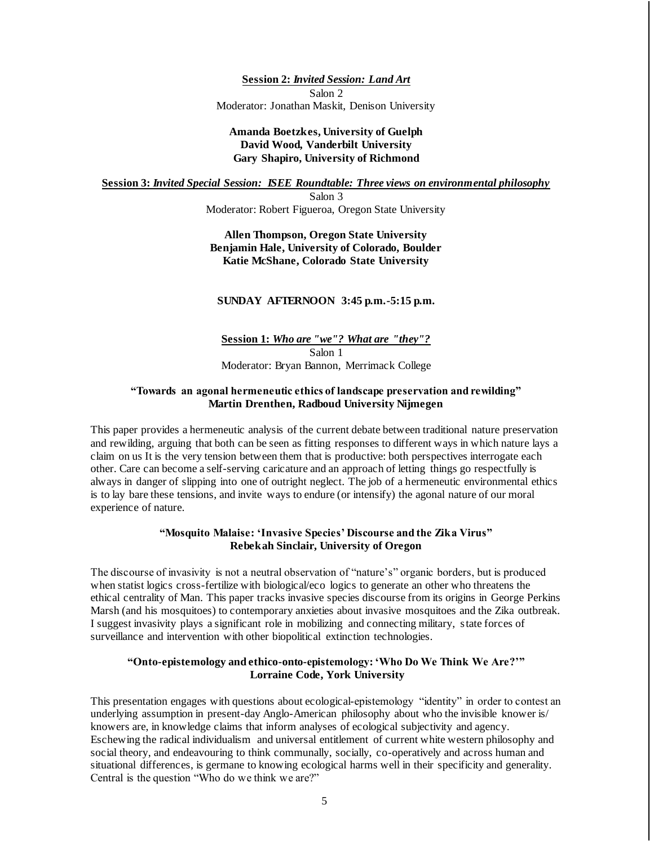**Session 2:** *Invited Session: Land Art* Salon 2 Moderator: Jonathan Maskit, Denison University

#### **Amanda Boetzkes, University of Guelph David Wood, Vanderbilt University Gary Shapiro, University of Richmond**

**Session 3:** *Invited Special Session: ISEE Roundtable: Three views on environmental philosophy*

Salon 3 Moderator: Robert Figueroa, Oregon State University

**Allen Thompson, Oregon State University Benjamin Hale, University of Colorado, Boulder Katie McShane, Colorado State University**

#### **SUNDAY AFTERNOON 3:45 p.m.-5:15 p.m.**

**Session 1:** *Who are "we"? What are "they"?* Salon 1 Moderator: Bryan Bannon, Merrimack College

#### **"Towards an agonal hermeneutic ethics of landscape preservation and rewilding" Martin Drenthen, Radboud University Nijmegen**

This paper provides a hermeneutic analysis of the current debate between traditional nature preservation and rewilding, arguing that both can be seen as fitting responses to different ways in which nature lays a claim on us It is the very tension between them that is productive: both perspectives interrogate each other. Care can become a self-serving caricature and an approach of letting things go respectfully is always in danger of slipping into one of outright neglect. The job of a hermeneutic environmental ethics is to lay bare these tensions, and invite ways to endure (or intensify) the agonal nature of our moral experience of nature.

#### **"Mosquito Malaise: 'Invasive Species' Discourse and the Zika Virus" Rebekah Sinclair, University of Oregon**

The discourse of invasivity is not a neutral observation of "nature's" organic borders, but is produced when statist logics cross-fertilize with biological/eco logics to generate an other who threatens the ethical centrality of Man. This paper tracks invasive species discourse from its origins in George Perkins Marsh (and his mosquitoes) to contemporary anxieties about invasive mosquitoes and the Zika outbreak. I suggest invasivity plays a significant role in mobilizing and connecting military, state forces of surveillance and intervention with other biopolitical extinction technologies.

#### **"Onto-epistemology and ethico-onto-epistemology: 'Who Do We Think We Are?'" Lorraine Code, York University**

This presentation engages with questions about ecological-epistemology "identity" in order to contest an underlying assumption in present-day Anglo-American philosophy about who the invisible knower is/ knowers are, in knowledge claims that inform analyses of ecological subjectivity and agency. Eschewing the radical individualism and universal entitlement of current white western philosophy and social theory, and endeavouring to think communally, socially, co-operatively and across human and situational differences, is germane to knowing ecological harms well in their specificity and generality. Central is the question "Who do we think we are?"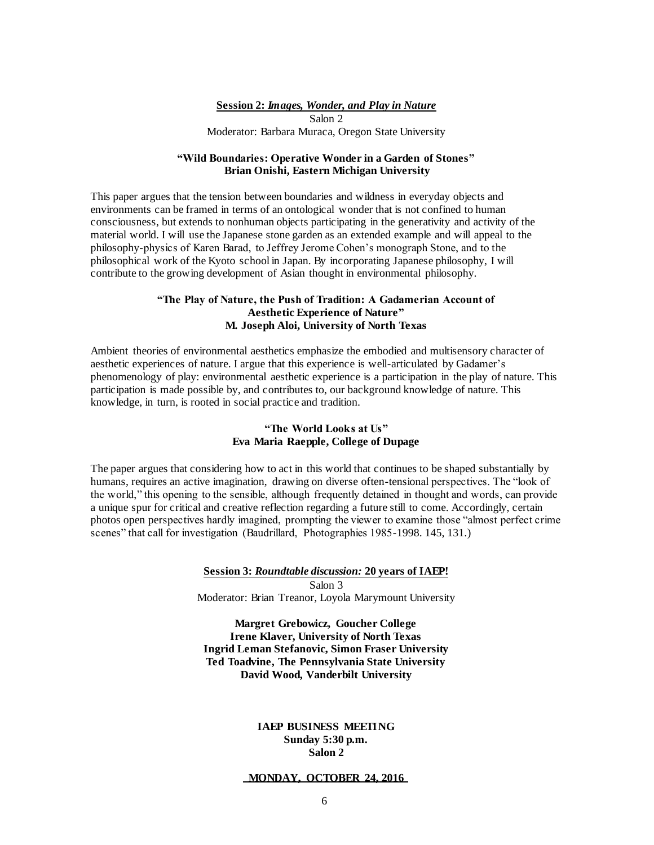#### **Session 2:** *Images, Wonder, and Play in Nature* Salon 2 Moderator: Barbara Muraca, Oregon State University

#### **"Wild Boundaries: Operative Wonder in a Garden of Stones" Brian Onishi, Eastern Michigan University**

This paper argues that the tension between boundaries and wildness in everyday objects and environments can be framed in terms of an ontological wonder that is not confined to human consciousness, but extends to nonhuman objects participating in the generativity and activity of the material world. I will use the Japanese stone garden as an extended example and will appeal to the philosophy-physics of Karen Barad, to Jeffrey Jerome Cohen's monograph Stone, and to the philosophical work of the Kyoto school in Japan. By incorporating Japanese philosophy, I will contribute to the growing development of Asian thought in environmental philosophy.

#### **"The Play of Nature, the Push of Tradition: A Gadamerian Account of Aesthetic Experience of Nature" M. Joseph Aloi, University of North Texas**

Ambient theories of environmental aesthetics emphasize the embodied and multisensory character of aesthetic experiences of nature. I argue that this experience is well-articulated by Gadamer's phenomenology of play: environmental aesthetic experience is a participation in the play of nature. This participation is made possible by, and contributes to, our background knowledge of nature. This knowledge, in turn, is rooted in social practice and tradition.

#### **"The World Looks at Us" Eva Maria Raepple, College of Dupage**

The paper argues that considering how to act in this world that continues to be shaped substantially by humans, requires an active imagination, drawing on diverse often-tensional perspectives. The "look of the world," this opening to the sensible, although frequently detained in thought and words, can provide a unique spur for critical and creative reflection regarding a future still to come. Accordingly, certain photos open perspectives hardly imagined, prompting the viewer to examine those "almost perfect crime scenes" that call for investigation (Baudrillard, Photographies 1985-1998. 145, 131.)

> **Session 3:** *Roundtable discussion:* **20 years of IAEP!** Salon 3 Moderator: Brian Treanor, Loyola Marymount University

**Margret Grebowicz, Goucher College Irene Klaver, University of North Texas Ingrid Leman Stefanovic, Simon Fraser University Ted Toadvine, The Pennsylvania State University David Wood, Vanderbilt University**

#### **IAEP BUSINESS MEETING Sunday 5:30 p.m. Salon 2**

#### **MONDAY, OCTOBER 24, 2016**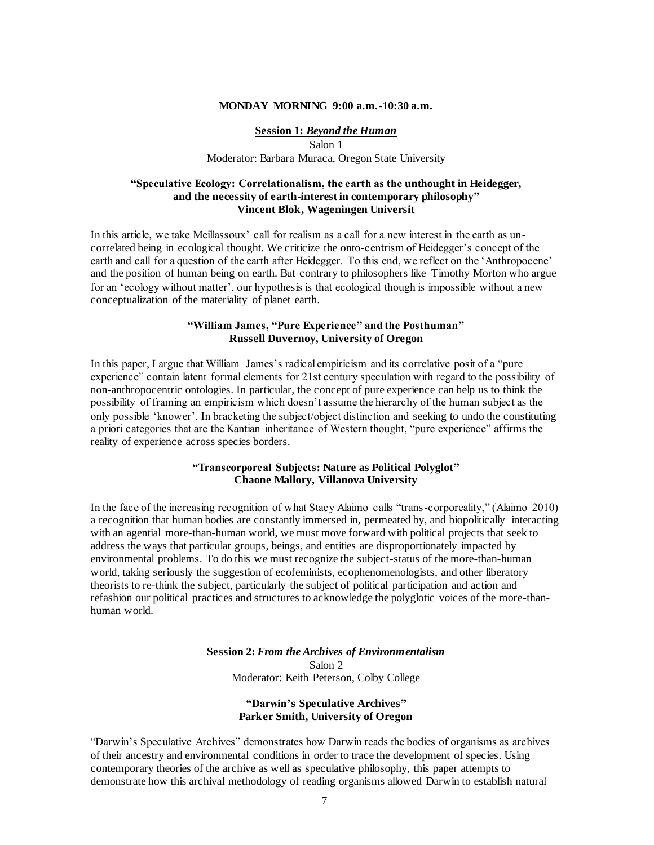#### **MONDAY MORNING 9:00 a.m.-10:30 a.m.**

#### **Session 1:** *Beyond the Human* Salon 1 Moderator: Barbara Muraca, Oregon State University

#### **"Speculative Ecology: Correlationalism, the earth as the unthought in Heidegger, and the necessity of earth-interest in contemporary philosophy" Vincent Blok, Wageningen Universit**

In this article, we take Meillassoux' call for realism as a call for a new interest in the earth as uncorrelated being in ecological thought. We criticize the onto-centrism of Heidegger's concept of the earth and call for a question of the earth after Heidegger. To this end, we reflect on the 'Anthropocene' and the position of human being on earth. But contrary to philosophers like Timothy Morton who argue for an 'ecology without matter', our hypothesis is that ecological though is impossible without a new conceptualization of the materiality of planet earth.

#### **"William James, "Pure Experience" and the Posthuman" Russell Duvernoy, University of Oregon**

In this paper, I argue that William James's radical empiricism and its correlative posit of a "pure experience" contain latent formal elements for 21st century speculation with regard to the possibility of non-anthropocentric ontologies. In particular, the concept of pure experience can help us to think the possibility of framing an empiricism which doesn't assume the hierarchy of the human subject as the only possible 'knower'. In bracketing the subject/object distinction and seeking to undo the constituting a priori categories that are the Kantian inheritance of Western thought, "pure experience" affirms the reality of experience across species borders.

#### **"Transcorporeal Subjects: Nature as Political Polyglot" Chaone Mallory, Villanova University**

In the face of the increasing recognition of what Stacy Alaimo calls "trans-corporeality," (Alaimo 2010) a recognition that human bodies are constantly immersed in, permeated by, and biopolitically interacting with an agential more-than-human world, we must move forward with political projects that seek to address the ways that particular groups, beings, and entities are disproportionately impacted by environmental problems. To do this we must recognize the subject-status of the more-than-human world, taking seriously the suggestion of ecofeminists, ecophenomenologists, and other liberatory theorists to re-think the subject, particularly the subject of political participation and action and refashion our political practices and structures to acknowledge the polyglotic voices of the more-thanhuman world.

#### **Session 2:** *From the Archives of Environmentalism* Salon 2 Moderator: Keith Peterson, Colby College

#### **"Darwin's Speculative Archives" Parker Smith, University of Oregon**

"Darwin's Speculative Archives" demonstrates how Darwin reads the bodies of organisms as archives of their ancestry and environmental conditions in order to trace the development of species. Using contemporary theories of the archive as well as speculative philosophy, this paper attempts to demonstrate how this archival methodology of reading organisms allowed Darwin to establish natural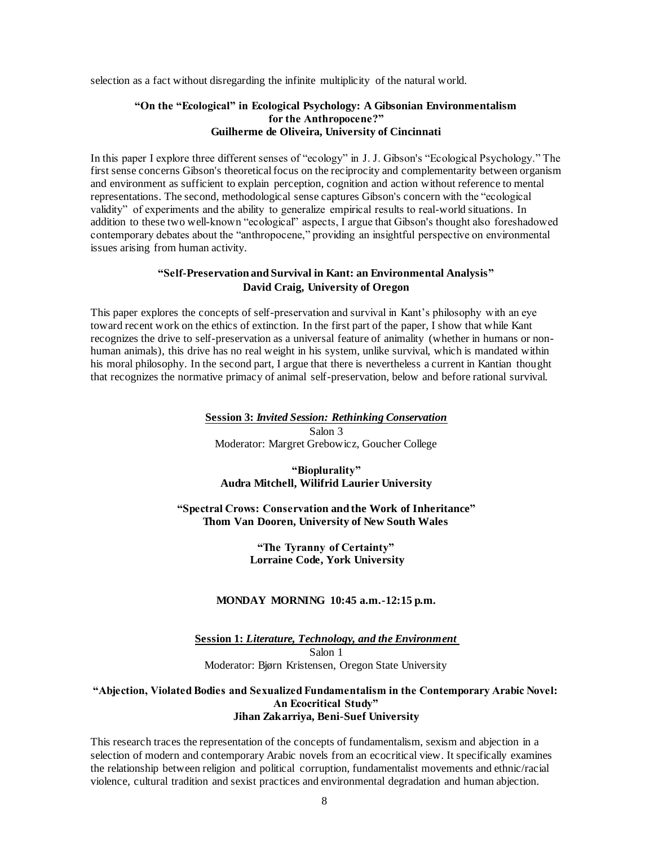selection as a fact without disregarding the infinite multiplicity of the natural world.

#### **"On the "Ecological" in Ecological Psychology: A Gibsonian Environmentalism for the Anthropocene?" Guilherme de Oliveira, University of Cincinnati**

In this paper I explore three different senses of "ecology" in J. J. Gibson's "Ecological Psychology." The first sense concerns Gibson's theoretical focus on the reciprocity and complementarity between organism and environment as sufficient to explain perception, cognition and action without reference to mental representations. The second, methodological sense captures Gibson's concern with the "ecological validity" of experiments and the ability to generalize empirical results to real-world situations. In addition to these two well-known "ecological" aspects, I argue that Gibson's thought also foreshadowed contemporary debates about the "anthropocene," providing an insightful perspective on environmental issues arising from human activity.

#### **"Self-Preservation and Survival in Kant: an Environmental Analysis" David Craig, University of Oregon**

This paper explores the concepts of self-preservation and survival in Kant's philosophy with an eye toward recent work on the ethics of extinction. In the first part of the paper, I show that while Kant recognizes the drive to self-preservation as a universal feature of animality (whether in humans or nonhuman animals), this drive has no real weight in his system, unlike survival, which is mandated within his moral philosophy. In the second part, I argue that there is nevertheless a current in Kantian thought that recognizes the normative primacy of animal self-preservation, below and before rational survival.

#### **Session 3:** *Invited Session: Rethinking Conservation*

Salon 3 Moderator: Margret Grebowicz, Goucher College

#### **"Bioplurality" Audra Mitchell, Wilifrid Laurier University**

**"Spectral Crows: Conservation and the Work of Inheritance" Thom Van Dooren, University of New South Wales**

#### **"The Tyranny of Certainty" Lorraine Code, York University**

#### **MONDAY MORNING 10:45 a.m.-12:15 p.m.**

**Session 1:** *Literature, Technology, and the Environment*  Salon 1 Moderator: Bjørn Kristensen, Oregon State University

#### **"Abjection, Violated Bodies and Sexualized Fundamentalism in the Contemporary Arabic Novel: An Ecocritical Study" Jihan Zakarriya, Beni-Suef University**

This research traces the representation of the concepts of fundamentalism, sexism and abjection in a selection of modern and contemporary Arabic novels from an ecocritical view. It specifically examines the relationship between religion and political corruption, fundamentalist movements and ethnic/racial violence, cultural tradition and sexist practices and environmental degradation and human abjection.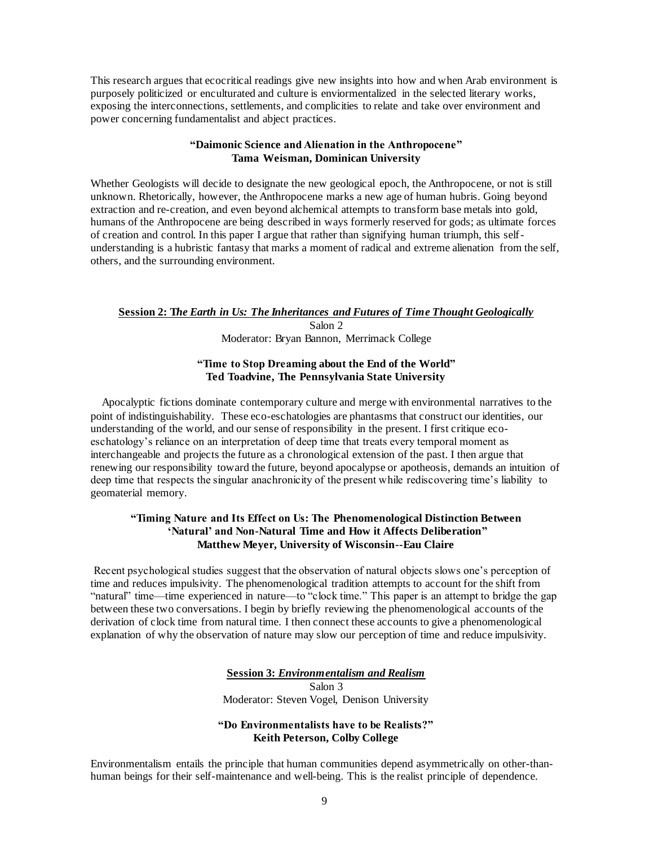This research argues that ecocritical readings give new insights into how and when Arab environment is purposely politicized or enculturated and culture is enviormentalized in the selected literary works, exposing the interconnections, settlements, and complicities to relate and take over environment and power concerning fundamentalist and abject practices.

#### **"Daimonic Science and Alienation in the Anthropocene" Tama Weisman, Dominican University**

Whether Geologists will decide to designate the new geological epoch, the Anthropocene, or not is still unknown. Rhetorically, however, the Anthropocene marks a new age of human hubris. Going beyond extraction and re-creation, and even beyond alchemical attempts to transform base metals into gold, humans of the Anthropocene are being described in ways formerly reserved for gods; as ultimate forces of creation and control. In this paper I argue that rather than signifying human triumph, this selfunderstanding is a hubristic fantasy that marks a moment of radical and extreme alienation from the self, others, and the surrounding environment.

#### **Session 2: T***he Earth in Us: The Inheritances and Futures of Time Thought Geologically*

Salon 2 Moderator: Bryan Bannon, Merrimack College

#### **"Time to Stop Dreaming about the End of the World" Ted Toadvine, The Pennsylvania State University**

 Apocalyptic fictions dominate contemporary culture and merge with environmental narratives to the point of indistinguishability. These eco-eschatologies are phantasms that construct our identities, our understanding of the world, and our sense of responsibility in the present. I first critique ecoeschatology's reliance on an interpretation of deep time that treats every temporal moment as interchangeable and projects the future as a chronological extension of the past. I then argue that renewing our responsibility toward the future, beyond apocalypse or apotheosis, demands an intuition of deep time that respects the singular anachronicity of the present while rediscovering time's liability to geomaterial memory.

#### **"Timing Nature and Its Effect on Us: The Phenomenological Distinction Between 'Natural' and Non-Natural Time and How it Affects Deliberation" Matthew Meyer, University of Wisconsin--Eau Claire**

Recent psychological studies suggest that the observation of natural objects slows one's perception of time and reduces impulsivity. The phenomenological tradition attempts to account for the shift from "natural" time—time experienced in nature—to "clock time." This paper is an attempt to bridge the gap between these two conversations. I begin by briefly reviewing the phenomenological accounts of the derivation of clock time from natural time. I then connect these accounts to give a phenomenological explanation of why the observation of nature may slow our perception of time and reduce impulsivity.

> **Session 3:** *Environmentalism and Realism* Salon 3 Moderator: Steven Vogel, Denison University

#### **"Do Environmentalists have to be Realists?" Keith Peterson, Colby College**

Environmentalism entails the principle that human communities depend asymmetrically on other-thanhuman beings for their self-maintenance and well-being. This is the realist principle of dependence.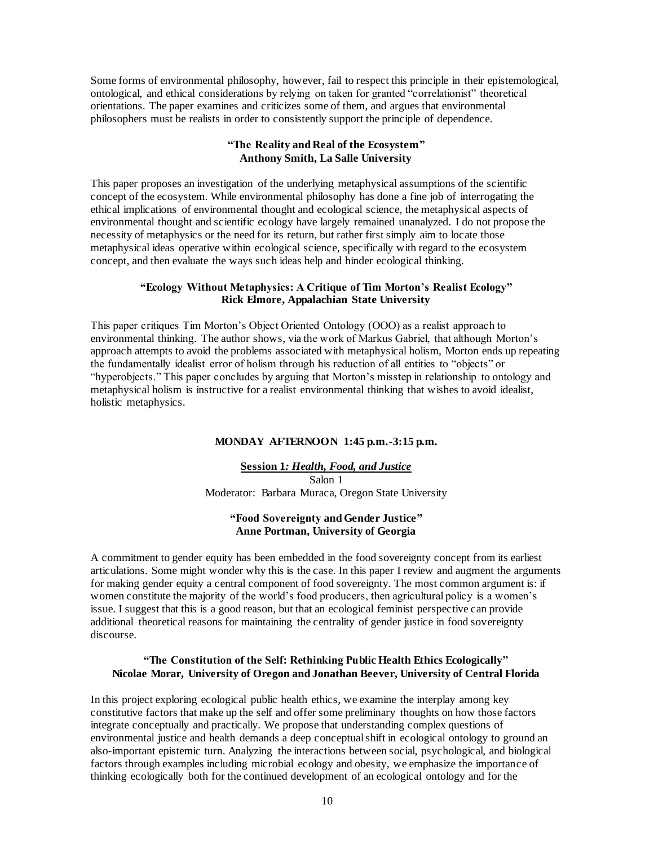Some forms of environmental philosophy, however, fail to respect this principle in their epistemological, ontological, and ethical considerations by relying on taken for granted "correlationist" theoretical orientations. The paper examines and criticizes some of them, and argues that environmental philosophers must be realists in order to consistently support the principle of dependence.

#### **"The Reality and Real of the Ecosystem" Anthony Smith, La Salle University**

This paper proposes an investigation of the underlying metaphysical assumptions of the scientific concept of the ecosystem. While environmental philosophy has done a fine job of interrogating the ethical implications of environmental thought and ecological science, the metaphysical aspects of environmental thought and scientific ecology have largely remained unanalyzed. I do not propose the necessity of metaphysics or the need for its return, but rather first simply aim to locate those metaphysical ideas operative within ecological science, specifically with regard to the ecosystem concept, and then evaluate the ways such ideas help and hinder ecological thinking.

#### **"Ecology Without Metaphysics: A Critique of Tim Morton's Realist Ecology" Rick Elmore, Appalachian State University**

This paper critiques Tim Morton's Object Oriented Ontology (OOO) as a realist approach to environmental thinking. The author shows, via the work of Markus Gabriel, that although Morton's approach attempts to avoid the problems associated with metaphysical holism, Morton ends up repeating the fundamentally idealist error of holism through his reduction of all entities to "objects" or "hyperobjects." This paper concludes by arguing that Morton's misstep in relationship to ontology and metaphysical holism is instructive for a realist environmental thinking that wishes to avoid idealist, holistic metaphysics.

#### **MONDAY AFTERNOON 1:45 p.m.-3:15 p.m.**

**Session 1***: Health, Food, and Justice* Salon 1 Moderator: Barbara Muraca, Oregon State University

#### **"Food Sovereignty and Gender Justice" Anne Portman, University of Georgia**

A commitment to gender equity has been embedded in the food sovereignty concept from its earliest articulations. Some might wonder why this is the case. In this paper I review and augment the arguments for making gender equity a central component of food sovereignty. The most common argument is: if women constitute the majority of the world's food producers, then agricultural policy is a women's issue. I suggest that this is a good reason, but that an ecological feminist perspective can provide additional theoretical reasons for maintaining the centrality of gender justice in food sovereignty discourse.

#### **"The Constitution of the Self: Rethinking Public Health Ethics Ecologically" Nicolae Morar, University of Oregon and Jonathan Beever, University of Central Florida**

In this project exploring ecological public health ethics, we examine the interplay among key constitutive factors that make up the self and offer some preliminary thoughts on how those factors integrate conceptually and practically. We propose that understanding complex questions of environmental justice and health demands a deep conceptual shift in ecological ontology to ground an also-important epistemic turn. Analyzing the interactions between social, psychological, and biological factors through examples including microbial ecology and obesity, we emphasize the importance of thinking ecologically both for the continued development of an ecological ontology and for the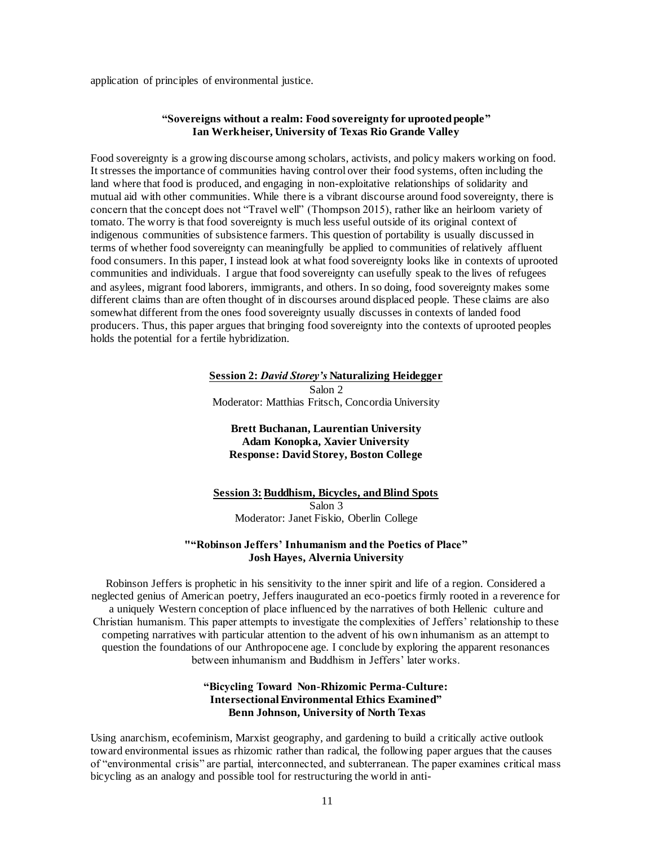application of principles of environmental justice.

#### **"Sovereigns without a realm: Food sovereignty for uprooted people" Ian Werkheiser, University of Texas Rio Grande Valley**

Food sovereignty is a growing discourse among scholars, activists, and policy makers working on food. It stresses the importance of communities having control over their food systems, often including the land where that food is produced, and engaging in non-exploitative relationships of solidarity and mutual aid with other communities. While there is a vibrant discourse around food sovereignty, there is concern that the concept does not "Travel well" (Thompson 2015), rather like an heirloom variety of tomato. The worry is that food sovereignty is much less useful outside of its original context of indigenous communities of subsistence farmers. This question of portability is usually discussed in terms of whether food sovereignty can meaningfully be applied to communities of relatively affluent food consumers. In this paper, I instead look at what food sovereignty looks like in contexts of uprooted communities and individuals. I argue that food sovereignty can usefully speak to the lives of refugees and asylees, migrant food laborers, immigrants, and others. In so doing, food sovereignty makes some different claims than are often thought of in discourses around displaced people. These claims are also somewhat different from the ones food sovereignty usually discusses in contexts of landed food producers. Thus, this paper argues that bringing food sovereignty into the contexts of uprooted peoples holds the potential for a fertile hybridization.

#### **Session 2:** *David Storey's* **Naturalizing Heidegger** Salon 2 Moderator: Matthias Fritsch, Concordia University

# **Brett Buchanan, Laurentian University**

# **Adam Konopka, Xavier University Response: David Storey, Boston College**

# **Session 3: Buddhism, Bicycles, and Blind Spots** Salon 3 Moderator: Janet Fiskio, Oberlin College

#### **""Robinson Jeffers' Inhumanism and the Poetics of Place" Josh Hayes, Alvernia University**

Robinson Jeffers is prophetic in his sensitivity to the inner spirit and life of a region. Considered a neglected genius of American poetry, Jeffers inaugurated an eco-poetics firmly rooted in a reverence for a uniquely Western conception of place influenced by the narratives of both Hellenic culture and Christian humanism. This paper attempts to investigate the complexities of Jeffers' relationship to these competing narratives with particular attention to the advent of his own inhumanism as an attempt to question the foundations of our Anthropocene age. I conclude by exploring the apparent resonances between inhumanism and Buddhism in Jeffers' later works.

#### **"Bicycling Toward Non-Rhizomic Perma-Culture: Intersectional Environmental Ethics Examined" Benn Johnson, University of North Texas**

Using anarchism, ecofeminism, Marxist geography, and gardening to build a critically active outlook toward environmental issues as rhizomic rather than radical, the following paper argues that the causes of "environmental crisis" are partial, interconnected, and subterranean. The paper examines critical mass bicycling as an analogy and possible tool for restructuring the world in anti-